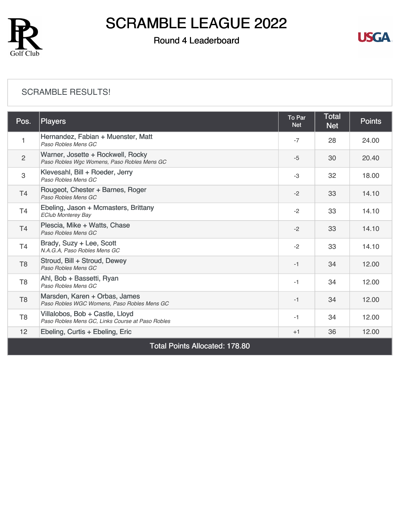

### Round 4 Leaderboard



#### [SCRAMBLE RESULTS!](https://cdn2.golfgenius.com/v2tournaments/8326801594276429653?called_from=&round_index=4)

| Pos.                                  | <b>Players</b>                                                                      | To Par<br><b>Net</b> | <b>Total</b><br><b>Net</b> | <b>Points</b> |  |  |
|---------------------------------------|-------------------------------------------------------------------------------------|----------------------|----------------------------|---------------|--|--|
| 1                                     | Hernandez, Fabian + Muenster, Matt<br>Paso Robles Mens GC                           | $-7$                 | 28                         | 24.00         |  |  |
| $\overline{2}$                        | Warner, Josette + Rockwell, Rocky<br>Paso Robles Wgc Womens, Paso Robles Mens GC    | $-5$                 | 30                         | 20.40         |  |  |
| 3                                     | Klevesahl, Bill + Roeder, Jerry<br>Paso Robles Mens GC                              | $-3$                 | 32                         | 18.00         |  |  |
| T4                                    | Rougeot, Chester + Barnes, Roger<br>Paso Robles Mens GC                             | $-2$                 | 33                         | 14.10         |  |  |
| T4                                    | Ebeling, Jason + Mcmasters, Brittany<br><b>EClub Monterey Bay</b>                   | $-2$                 | 33                         | 14.10         |  |  |
| T <sub>4</sub>                        | Plescia, Mike + Watts, Chase<br>Paso Robles Mens GC                                 | $-2$                 | 33                         | 14.10         |  |  |
| T <sub>4</sub>                        | Brady, Suzy + Lee, Scott<br>N.A.G.A, Paso Robles Mens GC                            | $-2$                 | 33                         | 14.10         |  |  |
| T <sub>8</sub>                        | Stroud, Bill + Stroud, Dewey<br>Paso Robles Mens GC                                 | $-1$                 | 34                         | 12.00         |  |  |
| T <sub>8</sub>                        | Ahl, Bob + Bassetti, Ryan<br>Paso Robles Mens GC                                    | $-1$                 | 34                         | 12.00         |  |  |
| T <sub>8</sub>                        | Marsden, Karen + Orbas, James<br>Paso Robles WGC Womens, Paso Robles Mens GC        | $-1$                 | 34                         | 12.00         |  |  |
| T <sub>8</sub>                        | Villalobos, Bob + Castle, Lloyd<br>Paso Robles Mens GC, Links Course at Paso Robles | $-1$                 | 34                         | 12.00         |  |  |
| 12                                    | Ebeling, Curtis + Ebeling, Eric                                                     | $+1$                 | 36                         | 12.00         |  |  |
| <b>Total Points Allocated: 178.80</b> |                                                                                     |                      |                            |               |  |  |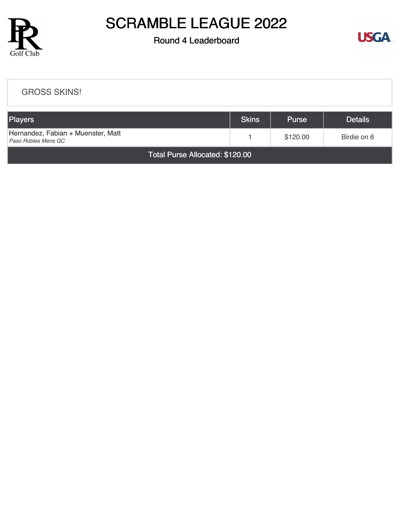

### Round 4 Leaderboard



#### [GROSS SKINS!](https://cdn2.golfgenius.com/v2tournaments/8326802372839915350?called_from=&round_index=4)

| Players                                                   | Skins | <b>Purse</b> | <b>Details</b> |  |  |  |
|-----------------------------------------------------------|-------|--------------|----------------|--|--|--|
| Hernandez, Fabian + Muenster, Matt<br>Paso Robles Mens GC |       | \$120.00     | Birdie on 6    |  |  |  |
| Total Purse Allocated: \$120.00                           |       |              |                |  |  |  |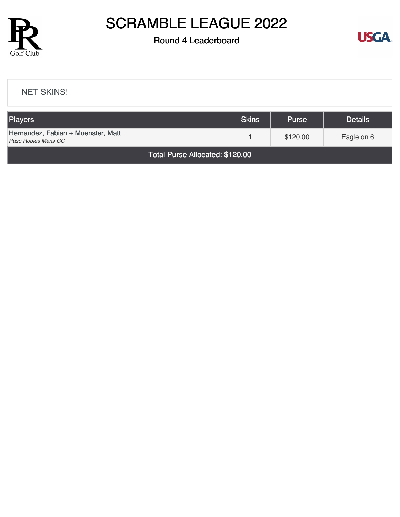

### Round 4 Leaderboard



#### [NET SKINS!](https://cdn2.golfgenius.com/v2tournaments/8326803180226658135?called_from=&round_index=4)

| <b>Players</b>                                            | <b>Skins</b> | <b>Purse</b> | <b>Details</b> |  |  |  |
|-----------------------------------------------------------|--------------|--------------|----------------|--|--|--|
| Hernandez, Fabian + Muenster, Matt<br>Paso Robles Mens GC |              | \$120.00     | Eagle on 6     |  |  |  |
| Total Purse Allocated: \$120.00                           |              |              |                |  |  |  |